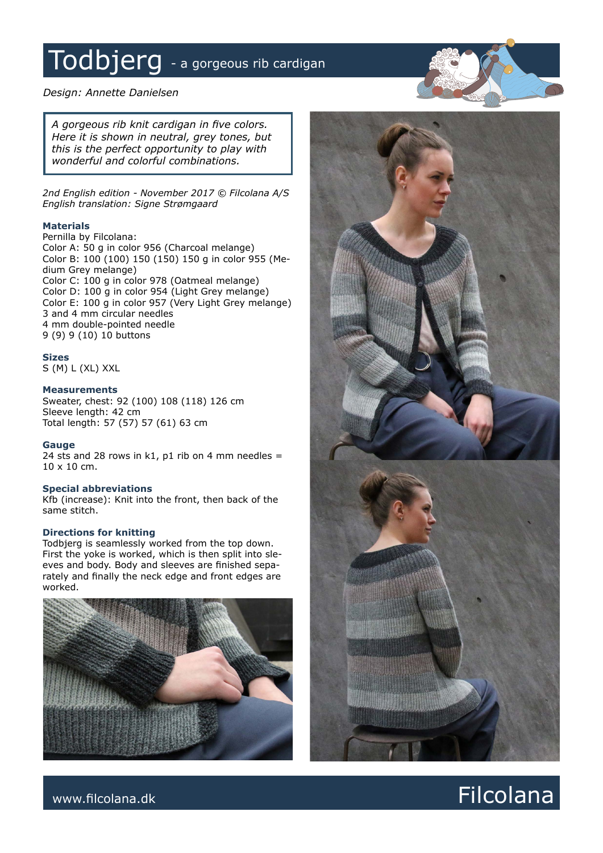# Todbjerg - a gorgeous rib cardigan

# *Design: Annette Danielsen*

*A gorgeous rib knit cardigan in five colors. Here it is shown in neutral, grey tones, but this is the perfect opportunity to play with wonderful and colorful combinations.*

*2nd English edition - November 2017 © Filcolana A/S English translation: Signe Strømgaard*

### **Materials**

Pernilla by Filcolana: Color A: 50 g in color 956 (Charcoal melange) Color B: 100 (100) 150 (150) 150 g in color 955 (Medium Grey melange) Color C: 100 g in color 978 (Oatmeal melange) Color D: 100 g in color 954 (Light Grey melange) Color E: 100 g in color 957 (Very Light Grey melange) 3 and 4 mm circular needles 4 mm double-pointed needle 9 (9) 9 (10) 10 buttons

# **Sizes**

S (M) L (XL) XXL

### **Measurements**

Sweater, chest: 92 (100) 108 (118) 126 cm Sleeve length: 42 cm Total length: 57 (57) 57 (61) 63 cm

### **Gauge**

24 sts and 28 rows in k1, p1 rib on 4 mm needles = 10 x 10 cm.

### **Special abbreviations**

Kfb (increase): Knit into the front, then back of the same stitch.

### **Directions for knitting**

Todbjerg is seamlessly worked from the top down. First the yoke is worked, which is then split into sleeves and body. Body and sleeves are finished separately and finally the neck edge and front edges are worked.





# www.filcolana.dk **Filcolana.dk** Particolana.dk and the set of the set of the set of the set of the set of the set of the set of the set of the set of the set of the set of the set of the set of the set of the set of the se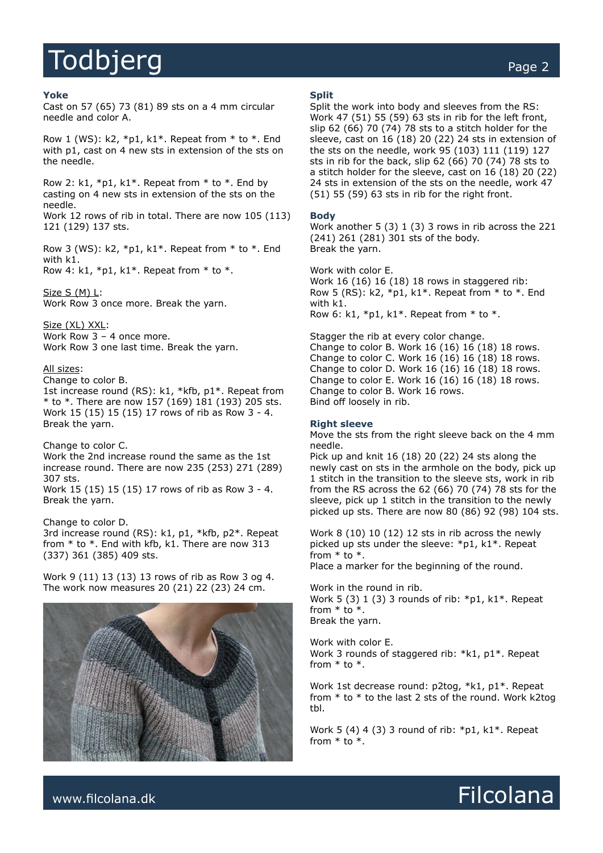# Todbjerg extensive the contract of the contract of the contract of the contract of the contract of the contract of the contract of the contract of the contract of the contract of the contract of the contract of the contrac

Cast on 57 (65) 73 (81) 89 sts on a 4 mm circular needle and color A.

Row 1 (WS):  $k2$ ,  $*pi$ ,  $k1$ <sup>\*</sup>. Repeat from  $*$  to  $*$ . End with p1, cast on 4 new sts in extension of the sts on the needle.

Row 2: k1,  $*pi$ , k1\*. Repeat from  $*$  to  $*$ . End by casting on 4 new sts in extension of the sts on the needle. Work 12 rows of rib in total. There are now 105 (113) 121 (129) 137 sts.

Row 3 (WS):  $k2$ ,  $*p1$ ,  $k1$ \*. Repeat from \* to \*. End with k1.

Row 4: k1,  $*pi$ , k1 $*$ . Repeat from  $*$  to  $*$ .

Size S (M) L: Work Row 3 once more. Break the yarn.

Size (XL) XXL: Work Row 3 – 4 once more. Work Row 3 one last time. Break the yarn.

### All sizes:

Change to color B.

1st increase round (RS): k1, \*kfb, p1\*. Repeat from \* to \*. There are now 157 (169) 181 (193) 205 sts. Work 15 (15) 15 (15) 17 rows of rib as Row 3 - 4. Break the yarn.

Change to color C.

Work the 2nd increase round the same as the 1st increase round. There are now 235 (253) 271 (289) 307 sts.

Work 15 (15) 15 (15) 17 rows of rib as Row 3 - 4. Break the yarn.

Change to color D.

3rd increase round (RS): k1, p1, \*kfb, p2\*. Repeat from \* to \*. End with kfb, k1. There are now 313 (337) 361 (385) 409 sts.

Work 9 (11) 13 (13) 13 rows of rib as Row 3 og 4. The work now measures 20 (21) 22 (23) 24 cm.



### **Split**

Split the work into body and sleeves from the RS: Work 47 (51) 55 (59) 63 sts in rib for the left front, slip 62 (66) 70 (74) 78 sts to a stitch holder for the sleeve, cast on 16 (18) 20 (22) 24 sts in extension of the sts on the needle, work 95 (103) 111 (119) 127 sts in rib for the back, slip 62 (66) 70 (74) 78 sts to a stitch holder for the sleeve, cast on 16 (18) 20 (22) 24 sts in extension of the sts on the needle, work 47 (51) 55 (59) 63 sts in rib for the right front.

### **Body**

Work another 5 (3) 1 (3) 3 rows in rib across the 221 (241) 261 (281) 301 sts of the body. Break the yarn.

Work with color E. Work 16 (16) 16 (18) 18 rows in staggered rib: Row 5 (RS):  $k2$ ,  $*p1$ ,  $k1$ <sup>\*</sup>. Repeat from  $*$  to  $*$ . End with k1. Row 6: k1,  $*pi$ , k1 $*$ . Repeat from  $*$  to  $*$ .

Stagger the rib at every color change. Change to color B. Work 16 (16) 16 (18) 18 rows. Change to color C. Work 16 (16) 16 (18) 18 rows. Change to color D. Work 16 (16) 16 (18) 18 rows. Change to color E. Work 16 (16) 16 (18) 18 rows. Change to color B. Work 16 rows. Bind off loosely in rib.

### **Right sleeve**

Move the sts from the right sleeve back on the 4 mm needle.

Pick up and knit 16 (18) 20 (22) 24 sts along the newly cast on sts in the armhole on the body, pick up 1 stitch in the transition to the sleeve sts, work in rib from the RS across the 62 (66) 70 (74) 78 sts for the sleeve, pick up 1 stitch in the transition to the newly picked up sts. There are now 80 (86) 92 (98) 104 sts.

Work 8 (10) 10 (12) 12 sts in rib across the newly picked up sts under the sleeve: \*p1, k1\*. Repeat from  $*$  to  $*$ . Place a marker for the beginning of the round.

Work in the round in rib. Work 5 (3) 1 (3) 3 rounds of rib:  $*pi$ , k1 $*$ . Repeat from  $*$  to  $*$ . Break the yarn.

Work with color E. Work 3 rounds of staggered rib: \*k1, p1\*. Repeat from \* to \*.

Work 1st decrease round: p2tog, \*k1, p1\*. Repeat from  $*$  to  $*$  to the last 2 sts of the round. Work k2tog tbl.

Work 5 (4) 4 (3) 3 round of rib:  $*pi$ , k1 $*$ . Repeat from \* to \*.

www.filcolana.dk **Filcolana.dk** Reserves and the set of the set of the set of the set of the set of the set of the set of the set of the set of the set of the set of the set of the set of the set of the set of the set of t